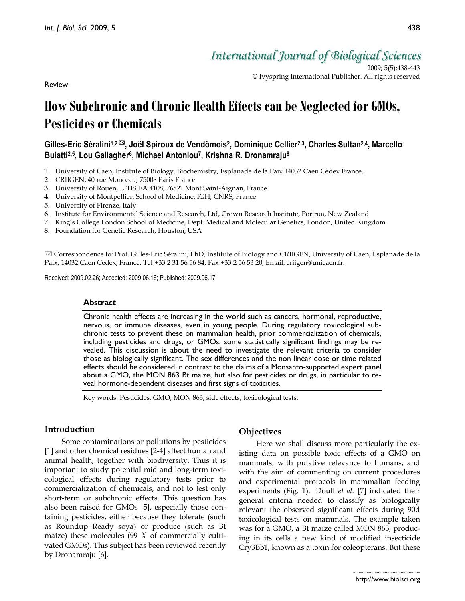*International Journal of Biological Sciences*

2009; 5(5):438-443 © Ivyspring International Publisher. All rights reserved

Review

# **How Subchronic and Chronic Health Effects can be Neglected for GMOs, Pesticides or Chemicals**

# Gilles-Eric Séralini<sup>1,2⊠</sup>, Joël Spiroux de Vendômois<sup>2</sup>, Dominique Cellier<sup>2,3</sup>, Charles Sultan<sup>2,4</sup>, Marcello **Buiatti2,5, Lou Gallagher6, Michael Antoniou7, Krishna R. Dronamraju8**

- 1. University of Caen, Institute of Biology, Biochemistry, Esplanade de la Paix 14032 Caen Cedex France.
- 2. CRIIGEN, 40 rue Monceau, 75008 Paris France
- 3. University of Rouen, LITIS EA 4108, 76821 Mont Saint-Aignan, France
- 4. University of Montpellier, School of Medicine, IGH, CNRS, France
- 5. University of Firenze, Italy
- 6. Institute for Environmental Science and Research, Ltd, Crown Research Institute, Porirua, New Zealand
- 7. King's College London School of Medicine, Dept. Medical and Molecular Genetics, London, United Kingdom
- 8. Foundation for Genetic Research, Houston, USA

 Correspondence to: Prof. Gilles-Eric Séralini, PhD, Institute of Biology and CRIIGEN, University of Caen, Esplanade de la Paix, 14032 Caen Cedex, France. Tel +33 2 31 56 56 84; Fax +33 2 56 53 20; Email: criigen@unicaen.fr.

Received: 2009.02.26; Accepted: 2009.06.16; Published: 2009.06.17

## **Abstract**

Chronic health effects are increasing in the world such as cancers, hormonal, reproductive, nervous, or immune diseases, even in young people. During regulatory toxicological subchronic tests to prevent these on mammalian health, prior commercialization of chemicals, including pesticides and drugs, or GMOs, some statistically significant findings may be revealed. This discussion is about the need to investigate the relevant criteria to consider those as biologically significant. The sex differences and the non linear dose or time related effects should be considered in contrast to the claims of a Monsanto-supported expert panel about a GMO, the MON 863 Bt maize, but also for pesticides or drugs, in particular to reveal hormone-dependent diseases and first signs of toxicities.

Key words: Pesticides, GMO, MON 863, side effects, toxicological tests.

# **Introduction**

Some contaminations or pollutions by pesticides [1] and other chemical residues [2-4] affect human and animal health, together with biodiversity. Thus it is important to study potential mid and long-term toxicological effects during regulatory tests prior to commercialization of chemicals, and not to test only short-term or subchronic effects. This question has also been raised for GMOs [5], especially those containing pesticides, either because they tolerate (such as Roundup Ready soya) or produce (such as Bt maize) these molecules (99 % of commercially cultivated GMOs). This subject has been reviewed recently by Dronamraju [6].

## **Objectives**

Here we shall discuss more particularly the existing data on possible toxic effects of a GMO on mammals, with putative relevance to humans, and with the aim of commenting on current procedures and experimental protocols in mammalian feeding experiments (Fig. 1). Doull *et al.* [7] indicated their general criteria needed to classify as biologically relevant the observed significant effects during 90d toxicological tests on mammals. The example taken was for a GMO, a Bt maize called MON 863, producing in its cells a new kind of modified insecticide Cry3Bb1, known as a toxin for coleopterans. But these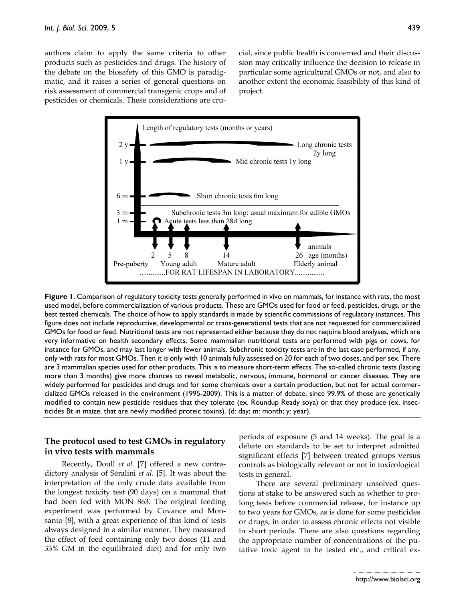authors claim to apply the same criteria to other products such as pesticides and drugs. The history of the debate on the biosafety of this GMO is paradigmatic, and it raises a series of general questions on risk assessment of commercial transgenic crops and of pesticides or chemicals. These considerations are crucial, since public health is concerned and their discussion may critically influence the decision to release in particular some agricultural GMOs or not, and also to another extent the economic feasibility of this kind of project.



**Figure 1**. Comparison of regulatory toxicity tests generally performed in vivo on mammals, for instance with rats, the most used model, before commercialization of various products. These are GMOs used for food or feed, pesticides, drugs, or the best tested chemicals. The choice of how to apply standards is made by scientific commissions of regulatory instances. This figure does not include reproductive, developmental or trans-generational tests that are not requested for commercialized GMOs for food or feed. Nutritional tests are not represented either because they do not require blood analyses, which are very informative on health secondary effects. Some mammalian nutritional tests are performed with pigs or cows, for instance for GMOs, and may last longer with fewer animals. Subchronic toxicity tests are in the last case performed, if any, only with rats for most GMOs. Then it is only with 10 animals fully assessed on 20 for each of two doses, and per sex. There are 3 mammalian species used for other products. This is to measure short-term effects. The so-called chronic tests (lasting more than 3 months) give more chances to reveal metabolic, nervous, immune, hormonal or cancer diseases. They are widely performed for pesticides and drugs and for some chemicals over a certain production, but not for actual commercialized GMOs released in the environment (1995-2009). This is a matter of debate, since 99.9% of those are genetically modified to contain new pesticide residues that they tolerate (ex. Roundup Ready soya) or that they produce (ex. insecticides Bt in maize, that are newly modified proteic toxins). (d: day; m: month; y: year).

## **The protocol used to test GMOs in regulatory in vivo tests with mammals**

Recently, Doull *et al.* [7] offered a new contradictory analysis of Séralini *et al*. [5]. It was about the interpretation of the only crude data available from the longest toxicity test (90 days) on a mammal that had been fed with MON 863. The original feeding experiment was performed by Covance and Monsanto [8], with a great experience of this kind of tests always designed in a similar manner. They measured the effect of feed containing only two doses (11 and 33% GM in the equilibrated diet) and for only two

periods of exposure (5 and 14 weeks). The goal is a debate on standards to be set to interpret admitted significant effects [7] between treated groups versus controls as biologically relevant or not in toxicological tests in general.

There are several preliminary unsolved questions at stake to be answered such as whether to prolong tests before commercial release, for instance up to two years for GMOs, as is done for some pesticides or drugs, in order to assess chronic effects not visible in short periods. There are also questions regarding the appropriate number of concentrations of the putative toxic agent to be tested etc., and critical ex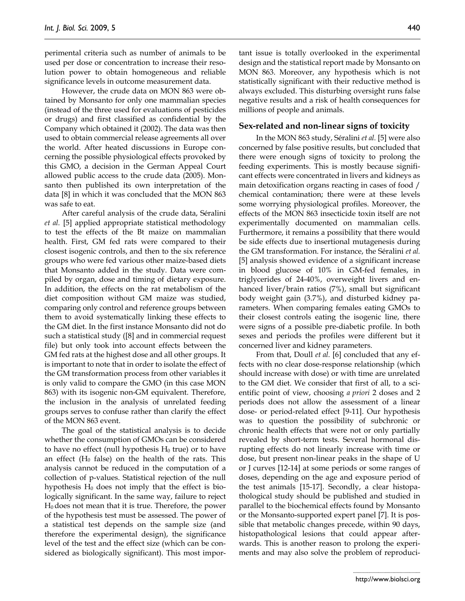perimental criteria such as number of animals to be used per dose or concentration to increase their resolution power to obtain homogeneous and reliable significance levels in outcome measurement data.

However, the crude data on MON 863 were obtained by Monsanto for only one mammalian species (instead of the three used for evaluations of pesticides or drugs) and first classified as confidential by the Company which obtained it (2002). The data was then used to obtain commercial release agreements all over the world. After heated discussions in Europe concerning the possible physiological effects provoked by this GMO, a decision in the German Appeal Court allowed public access to the crude data (2005). Monsanto then published its own interpretation of the data [8] in which it was concluded that the MON 863 was safe to eat.

After careful analysis of the crude data, Séralini *et al.* [5] applied appropriate statistical methodology to test the effects of the Bt maize on mammalian health. First, GM fed rats were compared to their closest isogenic controls, and then to the six reference groups who were fed various other maize-based diets that Monsanto added in the study. Data were compiled by organ, dose and timing of dietary exposure. In addition, the effects on the rat metabolism of the diet composition without GM maize was studied, comparing only control and reference groups between them to avoid systematically linking these effects to the GM diet. In the first instance Monsanto did not do such a statistical study ([8] and in commercial request file) but only took into account effects between the GM fed rats at the highest dose and all other groups. It is important to note that in order to isolate the effect of the GM transformation process from other variables it is only valid to compare the GMO (in this case MON 863) with its isogenic non-GM equivalent. Therefore, the inclusion in the analysis of unrelated feeding groups serves to confuse rather than clarify the effect of the MON 863 event.

The goal of the statistical analysis is to decide whether the consumption of GMOs can be considered to have no effect (null hypothesis  $H_0$  true) or to have an effect  $(H_0)$  false) on the health of the rats. This analysis cannot be reduced in the computation of a collection of p-values. Statistical rejection of the null hypothesis  $H_0$  does not imply that the effect is biologically significant. In the same way, failure to reject  $H_0$  does not mean that it is true. Therefore, the power of the hypothesis test must be assessed. The power of a statistical test depends on the sample size (and therefore the experimental design), the significance level of the test and the effect size (which can be considered as biologically significant). This most important issue is totally overlooked in the experimental design and the statistical report made by Monsanto on MON 863. Moreover, any hypothesis which is not statistically significant with their reductive method is always excluded. This disturbing oversight runs false negative results and a risk of health consequences for millions of people and animals.

#### **Sex-related and non-linear signs of toxicity**

In the MON 863 study, Séralini *et al.* [5] were also concerned by false positive results, but concluded that there were enough signs of toxicity to prolong the feeding experiments. This is mostly because significant effects were concentrated in livers and kidneys as main detoxification organs reacting in cases of food / chemical contamination; there were at these levels some worrying physiological profiles. Moreover, the effects of the MON 863 insecticide toxin itself are not experimentally documented on mammalian cells. Furthermore, it remains a possibility that there would be side effects due to insertional mutagenesis during the GM transformation. For instance, the Séralini *et al.* [5] analysis showed evidence of a significant increase in blood glucose of 10% in GM-fed females, in triglycerides of 24-40%, overweight livers and enhanced liver/brain ratios (7%), small but significant body weight gain (3.7%), and disturbed kidney parameters. When comparing females eating GMOs to their closest controls eating the isogenic line, there were signs of a possible pre-diabetic profile. In both sexes and periods the profiles were different but it concerned liver and kidney parameters.

From that, Doull *et al.* [6] concluded that any effects with no clear dose-response relationship (which should increase with dose) or with time are unrelated to the GM diet. We consider that first of all, to a scientific point of view, choosing *a priori* 2 doses and 2 periods does not allow the assessment of a linear dose- or period-related effect [9-11]. Our hypothesis was to question the possibility of subchronic or chronic health effects that were not or only partially revealed by short-term tests. Several hormonal disrupting effects do not linearly increase with time or dose, but present non-linear peaks in the shape of U or J curves [12-14] at some periods or some ranges of doses, depending on the age and exposure period of the test animals [15-17]. Secondly, a clear histopathological study should be published and studied in parallel to the biochemical effects found by Monsanto or the Monsanto-supported expert panel [7]. It is possible that metabolic changes precede, within 90 days, histopathological lesions that could appear afterwards. This is another reason to prolong the experiments and may also solve the problem of reproduci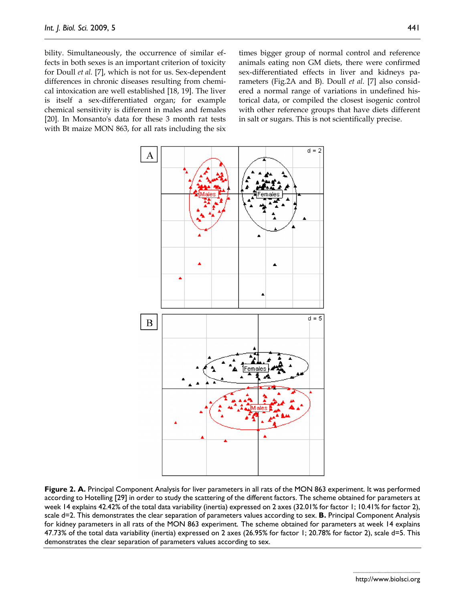bility. Simultaneously, the occurrence of similar effects in both sexes is an important criterion of toxicity for Doull *et al.* [7], which is not for us. Sex-dependent differences in chronic diseases resulting from chemical intoxication are well established [18, 19]. The liver is itself a sex-differentiated organ; for example chemical sensitivity is different in males and females [20]. In Monsanto's data for these 3 month rat tests with Bt maize MON 863, for all rats including the six

times bigger group of normal control and reference animals eating non GM diets, there were confirmed sex-differentiated effects in liver and kidneys parameters (Fig.2A and B). Doull *et al.* [7] also considered a normal range of variations in undefined historical data, or compiled the closest isogenic control with other reference groups that have diets different in salt or sugars. This is not scientifically precise.



Figure 2. A. Principal Component Analysis for liver parameters in all rats of the MON 863 experiment. It was performed according to Hotelling [29] in order to study the scattering of the different factors. The scheme obtained for parameters at week 14 explains 42.42% of the total data variability (inertia) expressed on 2 axes (32.01% for factor 1; 10.41% for factor 2), scale d=2. This demonstrates the clear separation of parameters values according to sex. **B.** Principal Component Analysis for kidney parameters in all rats of the MON 863 experiment. The scheme obtained for parameters at week 14 explains 47.73% of the total data variability (inertia) expressed on 2 axes (26.95% for factor 1; 20.78% for factor 2), scale d=5. This demonstrates the clear separation of parameters values according to sex.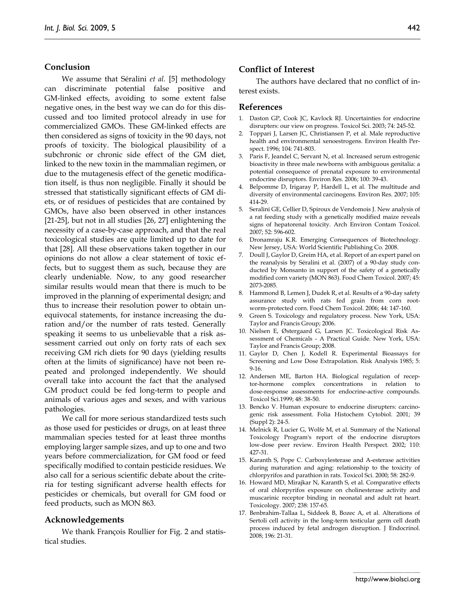## **Conclusion**

We assume that Séralini *et al.* [5] methodology can discriminate potential false positive and GM-linked effects, avoiding to some extent false negative ones, in the best way we can do for this discussed and too limited protocol already in use for commercialized GMOs. These GM-linked effects are then considered as signs of toxicity in the 90 days, not proofs of toxicity. The biological plausibility of a subchronic or chronic side effect of the GM diet, linked to the new toxin in the mammalian regimen, or due to the mutagenesis effect of the genetic modification itself, is thus non negligible. Finally it should be stressed that statistically significant effects of GM diets, or of residues of pesticides that are contained by GMOs, have also been observed in other instances [21-25], but not in all studies [26, 27] enlightening the necessity of a case-by-case approach, and that the real toxicological studies are quite limited up to date for that [28]. All these observations taken together in our opinions do not allow a clear statement of toxic effects, but to suggest them as such, because they are clearly undeniable. Now, to any good researcher similar results would mean that there is much to be improved in the planning of experimental design; and thus to increase their resolution power to obtain unequivocal statements, for instance increasing the duration and/or the number of rats tested. Generally speaking it seems to us unbelievable that a risk assessment carried out only on forty rats of each sex receiving GM rich diets for 90 days (yielding results often at the limits of significance) have not been repeated and prolonged independently. We should overall take into account the fact that the analysed GM product could be fed long-term to people and animals of various ages and sexes, and with various pathologies.

We call for more serious standardized tests such as those used for pesticides or drugs, on at least three mammalian species tested for at least three months employing larger sample sizes, and up to one and two years before commercialization, for GM food or feed specifically modified to contain pesticide residues. We also call for a serious scientific debate about the criteria for testing significant adverse health effects for pesticides or chemicals, but overall for GM food or feed products, such as MON 863.

#### **Acknowledgements**

We thank François Roullier for Fig. 2 and statistical studies.

## **Conflict of Interest**

The authors have declared that no conflict of interest exists.

#### **References**

- 1. Daston GP, Cook JC, Kavlock RJ. Uncertainties for endocrine disrupters: our view on progress. Toxicol Sci. 2003; 74: 245-52.
- 2. Toppari J, Larsen JC, Christiansen P, et al. Male reproductive health and environmental xenoestrogens. Environ Health Perspect. 1996; 104: 741-803.
- 3. Paris F, Jeandel C, Servant N, et al. Increased serum estrogenic bioactivity in three male newborns with ambiguous genitalia: a potential consequence of prenatal exposure to environmental endocrine disruptors. Environ Res. 2006; 100: 39-43.
- 4. Belpomme D, Irigaray P, Hardell L, et al. The multitude and diversity of environmental carcinogens. Environ Res. 2007; 105: 414-29.
- 5. Seralini GE, Cellier D, Spiroux de Vendomois J. New analysis of a rat feeding study with a genetically modified maize reveals signs of hepatorenal toxicity. Arch Environ Contam Toxicol. 2007; 52: 596-602.
- 6. Dronamraju K.R. Emerging Consequences of Biotechnology. New Jersey, USA: World Scientific Publishing Co. 2008.
- 7. Doull J, Gaylor D, Greim HA, et al. Report of an expert panel on the reanalysis by Séralini et al. (2007) of a 90-day study conducted by Monsanto in support of the safety of a genetically modified corn variety (MON 863). Food Chem Toxicol. 2007; 45: 2073-2085.
- 8. Hammond B, Lemen J, Dudek R, et al. Results of a 90-day safety assurance study with rats fed grain from corn rootworm-protected corn. Food Chem Toxicol. 2006; 44: 147-160.
- 9. Green S. Toxicology and regulatory process. New York, USA: Taylor and Francis Group; 2006.
- 10. Nielsen E, Østergaard G, Larsen JC. Toxicological Risk Assessment of Chemicals - A Practical Guide. New York, USA: Taylor and Francis Group; 2008.
- 11. Gaylor D, Chen J, Kodell R. Experimental Bioassays for Screening and Low Dose Extrapolation. Risk Analysis 1985; 5: 9-16.
- 12. Andersen ME, Barton HA. Biological regulation of receptor-hormone complex concentrations in relation dose-response assessments for endocrine-active compounds. Toxicol Sci.1999; 48: 38-50.
- 13. Bencko V. Human exposure to endocrine disrupters: carcinogenic risk assessment. Folia Histochem Cytobiol. 2001; 39 (Suppl 2): 24-5.
- 14. Melnick R, Lucier G, Wolfe M, et al. Summary of the National Toxicology Program's report of the endocrine disruptors low-dose peer review. Environ Health Perspect. 2002; 110: 427-31.
- 15. Karanth S, Pope C. Carboxylesterase and A-esterase activities during maturation and aging: relationship to the toxicity of chlorpyrifos and parathion in rats. Toxicol Sci. 2000; 58: 282-9.
- 16. Howard MD, Mirajkar N, Karanth S, et al. Comparative effects of oral chlorpyrifos exposure on cholinesterase activity and muscarinic receptor binding in neonatal and adult rat heart. Toxicology. 2007; 238: 157-65.
- 17. Benbrahim-Tallaa L, Siddeek B, Bozec A, et al. Alterations of Sertoli cell activity in the long-term testicular germ cell death process induced by fetal androgen disruption. J Endocrinol. 2008; 196: 21-31.